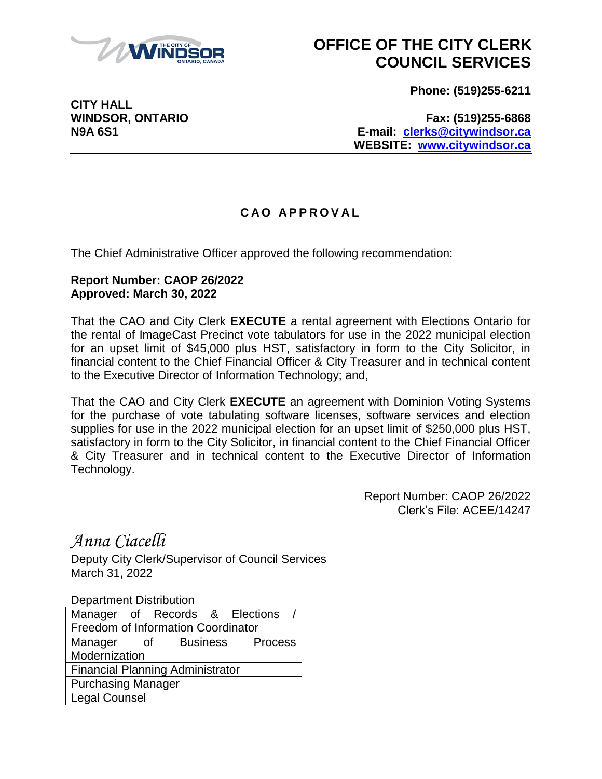

## **OFFICE OF THE CITY CLERK COUNCIL SERVICES**

**Phone: (519)255-6211**

**CITY HALL**

**WINDSOR, ONTARIO Fax: (519)255-6868 N9A 6S1 E-mail: [clerks@citywindsor.ca](mailto:clerks@citywindsor.ca) WEBSITE: [www.citywindsor.ca](http://www.citywindsor.ca/)**

## **C A O A P P R O V A L**

The Chief Administrative Officer approved the following recommendation:

## **Report Number: CAOP 26/2022 Approved: March 30, 2022**

That the CAO and City Clerk **EXECUTE** a rental agreement with Elections Ontario for the rental of ImageCast Precinct vote tabulators for use in the 2022 municipal election for an upset limit of \$45,000 plus HST, satisfactory in form to the City Solicitor, in financial content to the Chief Financial Officer & City Treasurer and in technical content to the Executive Director of Information Technology; and,

That the CAO and City Clerk **EXECUTE** an agreement with Dominion Voting Systems for the purchase of vote tabulating software licenses, software services and election supplies for use in the 2022 municipal election for an upset limit of \$250,000 plus HST, satisfactory in form to the City Solicitor, in financial content to the Chief Financial Officer & City Treasurer and in technical content to the Executive Director of Information Technology.

> Report Number: CAOP 26/2022 Clerk's File: ACEE/14247

*Anna Ciacelli*

Deputy City Clerk/Supervisor of Council Services March 31, 2022

Department Distribution

|                                         |    |                 |  | Manager of Records & Elections |
|-----------------------------------------|----|-----------------|--|--------------------------------|
| Freedom of Information Coordinator      |    |                 |  |                                |
| Manager                                 | of | <b>Business</b> |  | Process                        |
| Modernization                           |    |                 |  |                                |
| <b>Financial Planning Administrator</b> |    |                 |  |                                |
| <b>Purchasing Manager</b>               |    |                 |  |                                |
| <b>Legal Counsel</b>                    |    |                 |  |                                |
|                                         |    |                 |  |                                |